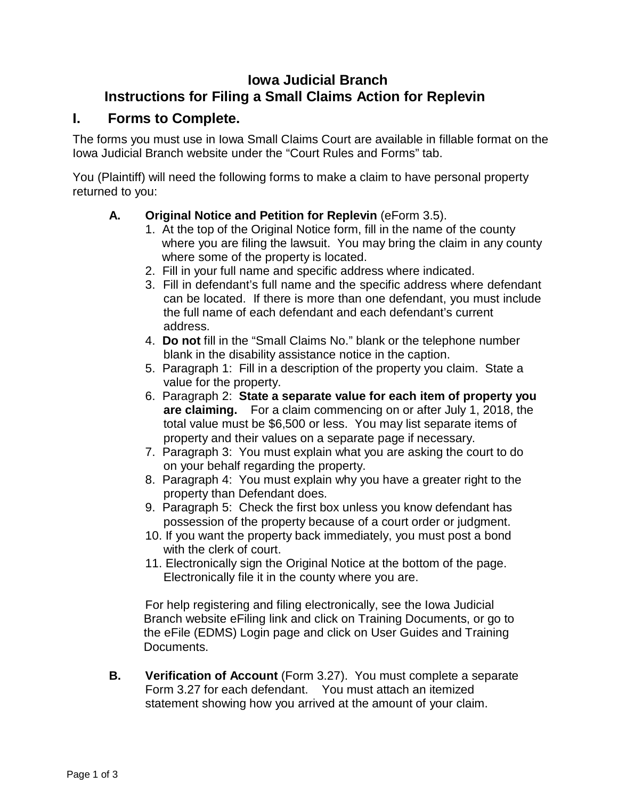## **Iowa Judicial Branch Instructions for Filing a Small Claims Action for Replevin**

### **I. Forms to Complete.**

The forms you must use in Iowa Small Claims Court are available in fillable format on the Iowa Judicial Branch website under the "Court Rules and Forms" tab.

You (Plaintiff) will need the following forms to make a claim to have personal property returned to you:

#### **A. Original Notice and Petition for Replevin** (eForm 3.5).

- 1. At the top of the Original Notice form, fill in the name of the county where you are filing the lawsuit. You may bring the claim in any county where some of the property is located.
- 2. Fill in your full name and specific address where indicated.
- 3. Fill in defendant's full name and the specific address where defendant can be located. If there is more than one defendant, you must include the full name of each defendant and each defendant's current address.
- 4. **Do not** fill in the "Small Claims No." blank or the telephone number blank in the disability assistance notice in the caption.
- 5. Paragraph 1: Fill in a description of the property you claim. State a value for the property.
- 6. Paragraph 2: **State a separate value for each item of property you are claiming.** For a claim commencing on or after July 1, 2018, the total value must be \$6,500 or less. You may list separate items of property and their values on a separate page if necessary.
- 7. Paragraph 3: You must explain what you are asking the court to do on your behalf regarding the property.
- 8. Paragraph 4: You must explain why you have a greater right to the property than Defendant does.
- 9. Paragraph 5: Check the first box unless you know defendant has possession of the property because of a court order or judgment.
- 10. If you want the property back immediately, you must post a bond with the clerk of court.
- 11. Electronically sign the Original Notice at the bottom of the page. Electronically file it in the county where you are.

For help registering and filing electronically, see the Iowa Judicial Branch website eFiling link and click on Training Documents, or go to the eFile (EDMS) Login page and click on User Guides and Training Documents.

**B. Verification of Account** (Form 3.27). You must complete a separate Form 3.27 for each defendant. You must attach an itemized statement showing how you arrived at the amount of your claim.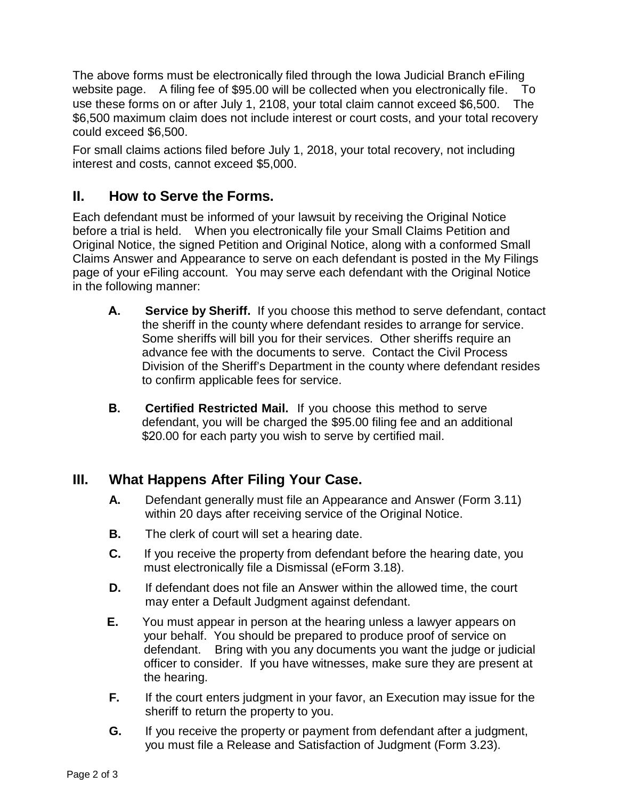The above forms must be electronically filed through the Iowa Judicial Branch eFiling website page. A filing fee of \$95.00 will be collected when you electronically file. To use these forms on or after July 1, 2108, your total claim cannot exceed \$6,500. The \$6,500 maximum claim does not include interest or court costs, and your total recovery could exceed \$6,500.

For small claims actions filed before July 1, 2018, your total recovery, not including interest and costs, cannot exceed \$5,000.

## **II. How to Serve the Forms.**

Each defendant must be informed of your lawsuit by receiving the Original Notice before a trial is held. When you electronically file your Small Claims Petition and Original Notice, the signed Petition and Original Notice, along with a conformed Small Claims Answer and Appearance to serve on each defendant is posted in the My Filings page of your eFiling account. You may serve each defendant with the Original Notice in the following manner:

- **A. Service by Sheriff.** If you choose this method to serve defendant, contact the sheriff in the county where defendant resides to arrange for service. Some sheriffs will bill you for their services. Other sheriffs require an advance fee with the documents to serve. Contact the Civil Process Division of the Sheriff's Department in the county where defendant resides to confirm applicable fees for service.
- **B. Certified Restricted Mail.** If you choose this method to serve defendant, you will be charged the \$95.00 filing fee and an additional \$20.00 for each party you wish to serve by certified mail.

# **III. What Happens After Filing Your Case.**

- **A.** Defendant generally must file an Appearance and Answer (Form 3.11) within 20 days after receiving service of the Original Notice.
- **B.** The clerk of court will set a hearing date.
- **C.** If you receive the property from defendant before the hearing date, you must electronically file a Dismissal (eForm 3.18).
- **D.** If defendant does not file an Answer within the allowed time, the court may enter a Default Judgment against defendant.
- **E.** You must appear in person at the hearing unless a lawyer appears on your behalf. You should be prepared to produce proof of service on defendant. Bring with you any documents you want the judge or judicial officer to consider. If you have witnesses, make sure they are present at the hearing.
- **F.** If the court enters judgment in your favor, an Execution may issue for the sheriff to return the property to you.
- **G.** If you receive the property or payment from defendant after a judgment, you must file a Release and Satisfaction of Judgment (Form 3.23).